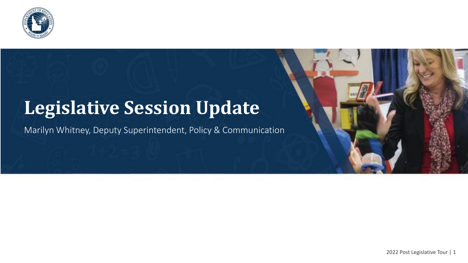

#### **Legislative Session Update**

Marilyn Whitney, Deputy Superintendent, Policy & Communication

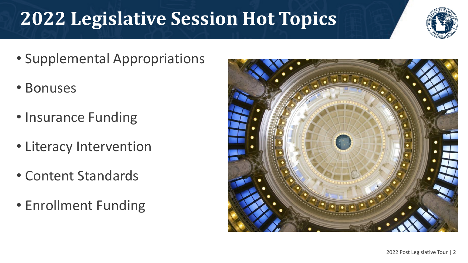# **2022 Legislative Session Hot Topics**



- Supplemental Appropriations
- Bonuses
- Insurance Funding
- Literacy Intervention
- Content Standards
- Enrollment Funding

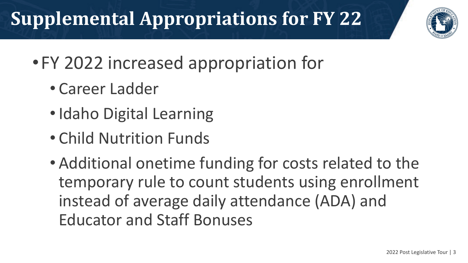# **Supplemental Appropriations for FY 22**



- •FY 2022 increased appropriation for
	- Career Ladder
	- Idaho Digital Learning
	- Child Nutrition Funds
	- Additional onetime funding for costs related to the temporary rule to count students using enrollment instead of average daily attendance (ADA) and Educator and Staff Bonuses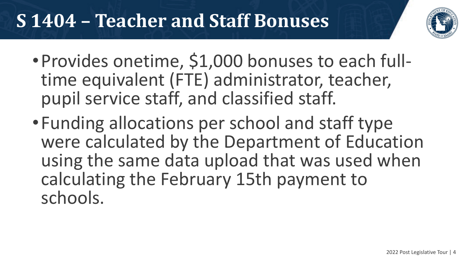## **S 1404 – Teacher and Staff Bonuses**



- •Provides onetime, \$1,000 bonuses to each full- time equivalent (FTE) administrator, teacher, pupil service staff, and classified staff.
- •Funding allocations per school and staff type were calculated by the Department of Education using the same data upload that was used when calculating the February 15th payment to schools.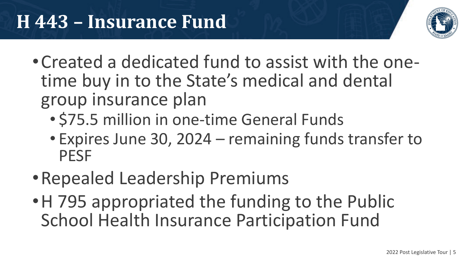

- •Created a dedicated fund to assist with the one- time buy in to the State's medical and dental group insurance plan
	- \$75.5 million in one-time General Funds
	- Expires June 30, 2024 remaining funds transfer to PESF
- •Repealed Leadership Premiums
- H 795 appropriated the funding to the Public School Health Insurance Participation Fund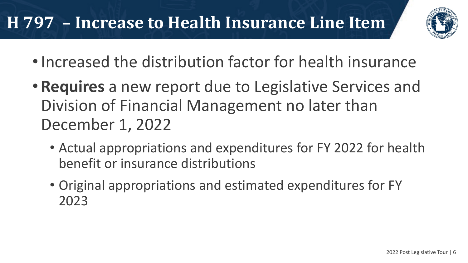#### **H 797 – Increase to Health Insurance Line Item**



- •Increased the distribution factor for health insurance
- **Requires** a new report due to Legislative Services and Division of Financial Management no later than December 1, 2022
	- Actual appropriations and expenditures for FY 2022 for health benefit or insurance distributions
	- Original appropriations and estimated expenditures for FY 2023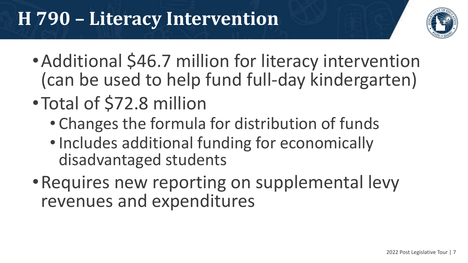## **H 790 – Literacy Intervention**



- •Additional \$46.7 million for literacy intervention (can be used to help fund full-day kindergarten)
- •Total of \$72.8 million
	- Changes the formula for distribution of funds
	- •Includes additional funding for economically disadvantaged students
- Requires new reporting on supplemental levy revenues and expenditures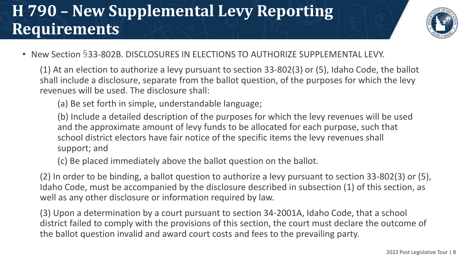#### **H 790 – New Supplemental Levy Reporting Requirements**



• New Section §33-802B. DISCLOSURES IN ELECTIONS TO AUTHORIZE SUPPLEMENTAL LEVY.

(1) At an election to authorize a levy pursuant to section 33-802(3) or (5), Idaho Code, the ballot shall include a disclosure, separate from the ballot question, of the purposes for which the levy revenues will be used. The disclosure shall:

(a) Be set forth in simple, understandable language;

(b) Include a detailed description of the purposes for which the levy revenues will be used and the approximate amount of levy funds to be allocated for each purpose, such that school district electors have fair notice of the specific items the levy revenues shall support; and

(c) Be placed immediately above the ballot question on the ballot.

(2) In order to be binding, a ballot question to authorize a levy pursuant to section 33-802(3) or (5), Idaho Code, must be accompanied by the disclosure described in subsection (1) of this section, as well as any other disclosure or information required by law.

(3) Upon a determination by a court pursuant to section 34-2001A, Idaho Code, that a school district failed to comply with the provisions of this section, the court must declare the outcome of the ballot question invalid and award court costs and fees to the prevailing party.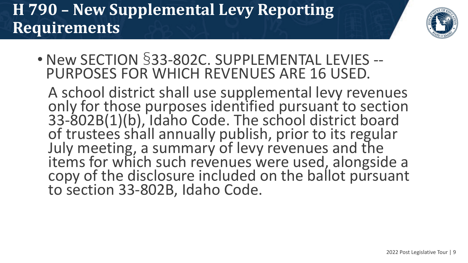#### **H 790 – New Supplemental Levy Reporting Requirements**



• New SECTION §33-802C. SUPPLEMENTAL LEVIES -- PURPOSES FOR WHICH REVENUES ARE 16 USED.

A school district shall use supplemental levy revenues only for those purposes identified pursuant to section 33-802B(1)(b), Idaho Code. The school district board of trustees shall annually publish, prior to its regular July meeting, a summary of levy revenues and the items for which such revenues were used, alongside a copy of the disclosure included on the ballot pursuant to section 33-802B, Idaho Code.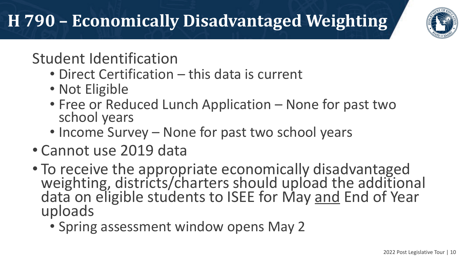# **H 790 – Economically Disadvantaged Weighting**



Student Identification

- Direct Certification this data is current
- Not Eligible
- Free or Reduced Lunch Application None for past two school years
- Income Survey None for past two school years
- Cannot use 2019 data
- To receive the appropriate economically disadvantaged weighting, districts/charters should upload the additional data on eligible students to ISEE for May and End of Year uploads
	- Spring assessment window opens May 2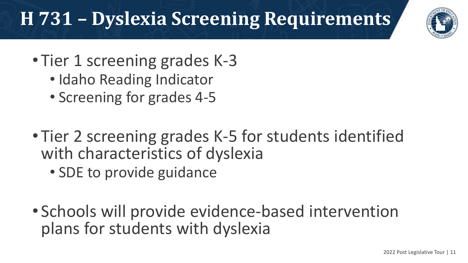# **H 731 – Dyslexia Screening Requirements**



- Tier 1 screening grades K-3
	- Idaho Reading Indicator
	- Screening for grades 4-5
- Tier 2 screening grades K-5 for students identified with characteristics of dyslexia
	- SDE to provide guidance
- Schools will provide evidence-based intervention plans for students with dyslexia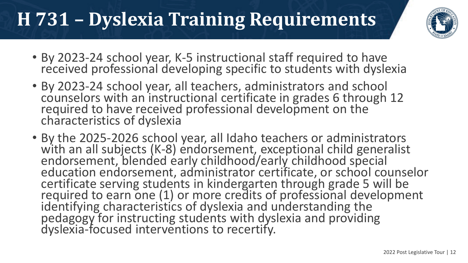# **H 731 – Dyslexia Training Requirements**



- By 2023-24 school year, K-5 instructional staff required to have received professional developing specific to students with dyslexia
- By 2023-24 school year, all teachers, administrators and school counselors with an instructional certificate in grades 6 through 12 required to have received professional development on the characteristics of dyslexia
- By the 2025-2026 school year, all Idaho teachers or administrators with an all subjects (K-8) endorsement, exceptional child generalist endorsement, blended early childhood/early childhood special education endorsement, administrator certificate, or school counselor certificate serving students in kindergarten through grade 5 will be required to earn one (1) or more credits of professional development identifying characteristics of dyslexia and understanding the pedagogy for instructing students with dyslexia and providing dyslexia-focused interventions to recertify.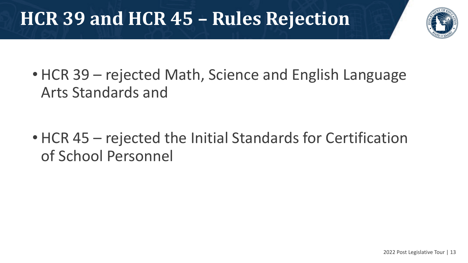# **HCR 39 and HCR 45 – Rules Rejection**



• HCR 39 – rejected Math, Science and English Language Arts Standards and

• HCR 45 – rejected the Initial Standards for Certification of School Personnel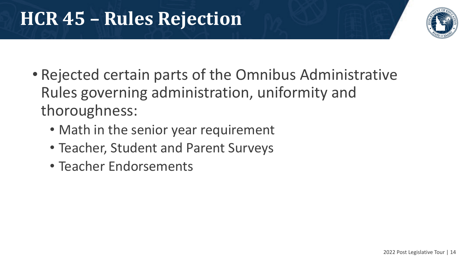## **HCR 45 – Rules Rejection**



- Rejected certain parts of the Omnibus Administrative Rules governing administration, uniformity and thoroughness:
	- Math in the senior year requirement
	- Teacher, Student and Parent Surveys
	- Teacher Endorsements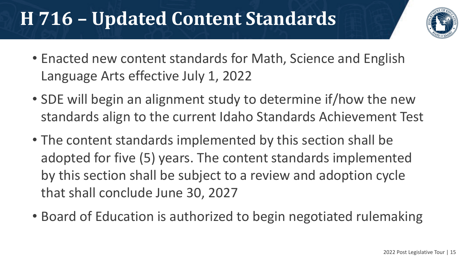### **H 716 – Updated Content Standards**



- Enacted new content standards for Math, Science and English Language Arts effective July 1, 2022
- SDE will begin an alignment study to determine if/how the new standards align to the current Idaho Standards Achievement Test
- The content standards implemented by this section shall be adopted for five (5) years. The content standards implemented by this section shall be subject to a review and adoption cycle that shall conclude June 30, 2027
- Board of Education is authorized to begin negotiated rulemaking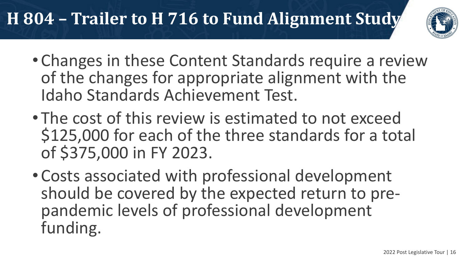### **H 804 – Trailer to H 716 to Fund Alignment Study**



- Changes in these Content Standards require a review of the changes for appropriate alignment with the Idaho Standards Achievement Test.
- The cost of this review is estimated to not exceed \$125,000 for each of the three standards for a total of \$375,000 in FY 2023.
- Costs associated with professional development should be covered by the expected return to pre- pandemic levels of professional development funding.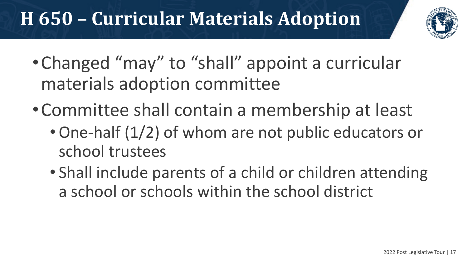# **H 650 – Curricular Materials Adoption**



- •Changed "may" to "shall" appoint a curricular materials adoption committee
- •Committee shall contain a membership at least
	- •One-half (1/2) of whom are not public educators or school trustees
	- Shall include parents of a child or children attending a school or schools within the school district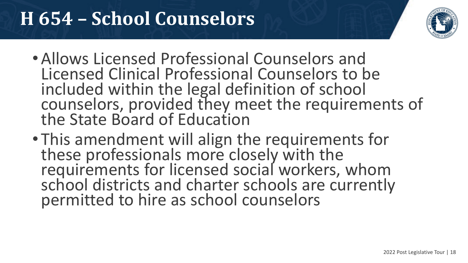## **H 654 – School Counselors**



- •Allows Licensed Professional Counselors and Licensed Clinical Professional Counselors to be included within the legal definition of school counselors, provided they meet the requirements of the State Board of Education
- This amendment will align the requirements for these professionals more closely with the requirements for licensed social workers, whom school districts and charter schools are currently permitted to hire as school counselors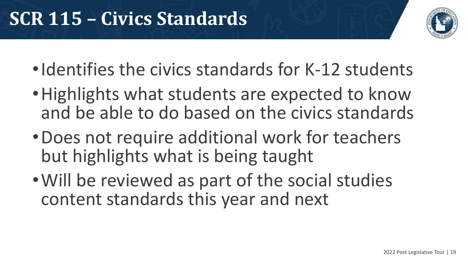

- Identifies the civics standards for K-12 students
- Highlights what students are expected to know and be able to do based on the civics standards
- •Does not require additional work for teachers but highlights what is being taught
- •Will be reviewed as part of the social studies content standards this year and next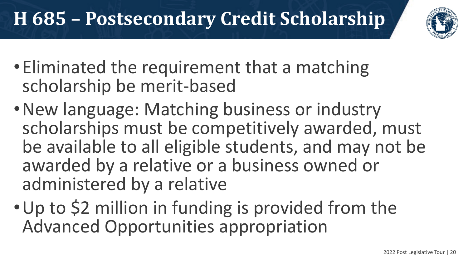# **H 685 – Postsecondary Credit Scholarship**



- •Eliminated the requirement that a matching scholarship be merit-based
- •New language: Matching business or industry scholarships must be competitively awarded, must be available to all eligible students, and may not be awarded by a relative or a business owned or administered by a relative
- •Up to \$2 million in funding is provided from the Advanced Opportunities appropriation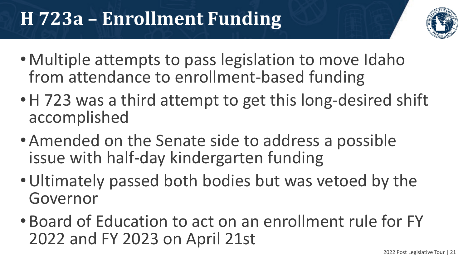# **H 723a – Enrollment Funding**



- Multiple attempts to pass legislation to move Idaho from attendance to enrollment-based funding
- H 723 was a third attempt to get this long-desired shift accomplished
- •Amended on the Senate side to address a possible issue with half-day kindergarten funding
- •Ultimately passed both bodies but was vetoed by the Governor
- Board of Education to act on an enrollment rule for FY 2022 and FY 2023 on April 21st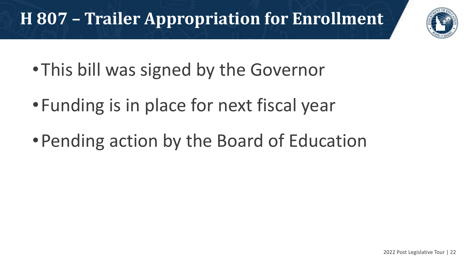### **H 807 – Trailer Appropriation for Enrollment**



- •This bill was signed by the Governor
- •Funding is in place for next fiscal year
- •Pending action by the Board of Education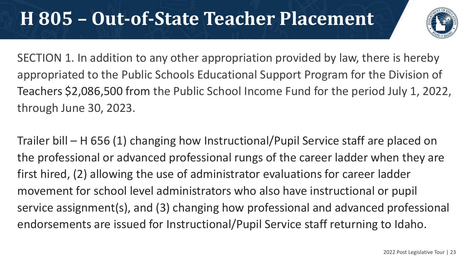#### **H 805 – Out-of-State Teacher Placement**



SECTION 1. In addition to any other appropriation provided by law, there is hereby appropriated to the Public Schools Educational Support Program for the Division of Teachers \$2,086,500 from the Public School Income Fund for the period July 1, 2022, through June 30, 2023.

Trailer bill – H 656 (1) changing how Instructional/Pupil Service staff are placed on the professional or advanced professional rungs of the career ladder when they are first hired, (2) allowing the use of administrator evaluations for career ladder movement for school level administrators who also have instructional or pupil service assignment(s), and (3) changing how professional and advanced professional endorsements are issued for Instructional/Pupil Service staff returning to Idaho.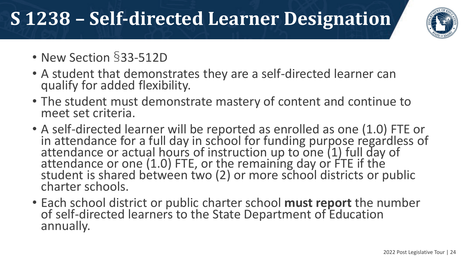# **S 1238 – Self-directed Learner Designation**



- New Section §33-512D
- A student that demonstrates they are a self-directed learner can qualify for added flexibility.
- The student must demonstrate mastery of content and continue to meet set criteria.
- A self-directed learner will be reported as enrolled as one (1.0) FTE or in attendance for a full day in school for funding purpose regardless of attendance or actual hours of instruction up to one (1) full day of attendance or one (1.0) FTE, or the remaining day or FTE if the student is shared between two (2) or more school districts or public charter schools.
- Each school district or public charter school **must report** the number of self-directed learners to the State Department of Education annually.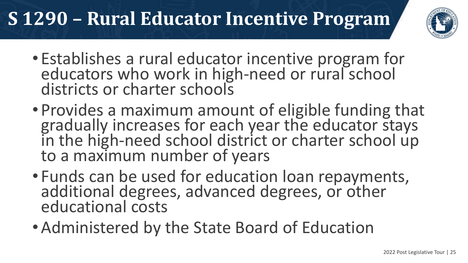# **S 1290 – Rural Educator Incentive Program**



- Establishes a rural educator incentive program for educators who work in high-need or rural school districts or charter schools
- Provides a maximum amount of eligible funding that gradually increases for each year the educator stays in the high-need school district or charter school up<br>to a maximum number of years
- Funds can be used for education loan repayments, additional degrees, advanced degrees, or other educational costs
- •Administered by the State Board of Education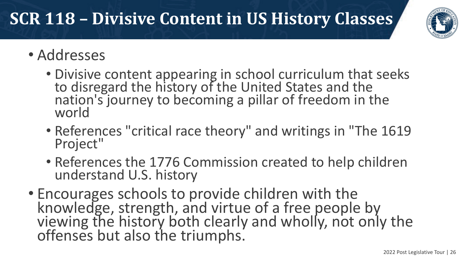#### **SCR 118 – Divisive Content in US History Classes**



- Addresses
	- Divisive content appearing in school curriculum that seeks to disregard the history of the United States and the nation's journey to becoming a pillar of freedom in the world
	- References "critical race theory" and writings in "The 1619 Project"
	- References the 1776 Commission created to help children understand U.S. history
- Encourages schools to provide children with the knowledge, strength, and virtue of a free people by viewing the history both clearly and wholly, not only the offenses but also the triumphs.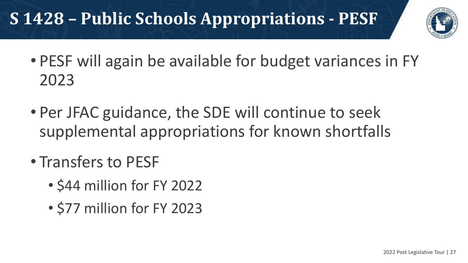#### **S 1428 – Public Schools Appropriations - PESF**



- PESF will again be available for budget variances in FY 2023
- Per JFAC guidance, the SDE will continue to seek supplemental appropriations for known shortfalls
- Transfers to PESF
	- \$44 million for FY 2022
	- \$77 million for FY 2023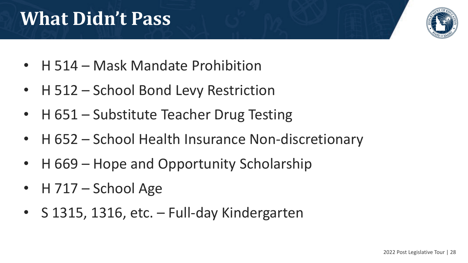# **What Didn't Pass**



- H 514 Mask Mandate Prohibition
- H 512 School Bond Levy Restriction
- H 651 Substitute Teacher Drug Testing
- H 652 School Health Insurance Non-discretionary
- H 669 Hope and Opportunity Scholarship
- H 717 School Age
- S 1315, 1316, etc. Full-day Kindergarten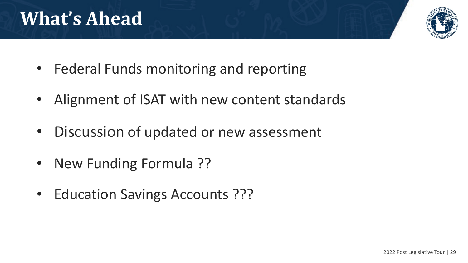## **What's Ahead**



- Federal Funds monitoring and reporting
- Alignment of ISAT with new content standards
- Discussion of updated or new assessment
- New Funding Formula ??
- Education Savings Accounts ???